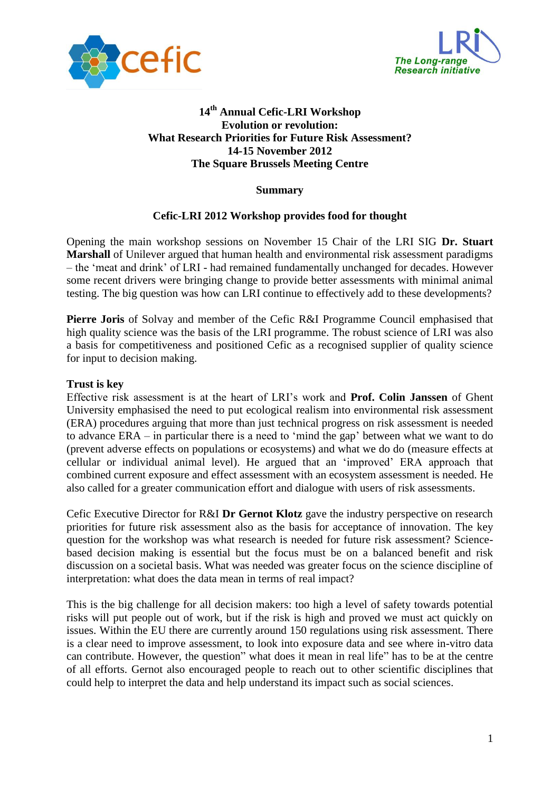



# **14th Annual Cefic-LRI Workshop Evolution or revolution: What Research Priorities for Future Risk Assessment? 14-15 November 2012 The Square Brussels Meeting Centre**

## **Summary**

## **Cefic-LRI 2012 Workshop provides food for thought**

Opening the main workshop sessions on November 15 Chair of the LRI SIG **Dr. Stuart Marshall** of Unilever argued that human health and environmental risk assessment paradigms – the "meat and drink" of LRI - had remained fundamentally unchanged for decades. However some recent drivers were bringing change to provide better assessments with minimal animal testing. The big question was how can LRI continue to effectively add to these developments?

**Pierre Joris** of Solvay and member of the Cefic R&I Programme Council emphasised that high quality science was the basis of the LRI programme. The robust science of LRI was also a basis for competitiveness and positioned Cefic as a recognised supplier of quality science for input to decision making.

## **Trust is key**

Effective risk assessment is at the heart of LRI"s work and **Prof. Colin Janssen** of Ghent University emphasised the need to put ecological realism into environmental risk assessment (ERA) procedures arguing that more than just technical progress on risk assessment is needed to advance ERA – in particular there is a need to "mind the gap" between what we want to do (prevent adverse effects on populations or ecosystems) and what we do do (measure effects at cellular or individual animal level). He argued that an "improved" ERA approach that combined current exposure and effect assessment with an ecosystem assessment is needed. He also called for a greater communication effort and dialogue with users of risk assessments.

Cefic Executive Director for R&I **Dr Gernot Klotz** gave the industry perspective on research priorities for future risk assessment also as the basis for acceptance of innovation. The key question for the workshop was what research is needed for future risk assessment? Sciencebased decision making is essential but the focus must be on a balanced benefit and risk discussion on a societal basis. What was needed was greater focus on the science discipline of interpretation: what does the data mean in terms of real impact?

This is the big challenge for all decision makers: too high a level of safety towards potential risks will put people out of work, but if the risk is high and proved we must act quickly on issues. Within the EU there are currently around 150 regulations using risk assessment. There is a clear need to improve assessment, to look into exposure data and see where in-vitro data can contribute. However, the question" what does it mean in real life" has to be at the centre of all efforts. Gernot also encouraged people to reach out to other scientific disciplines that could help to interpret the data and help understand its impact such as social sciences.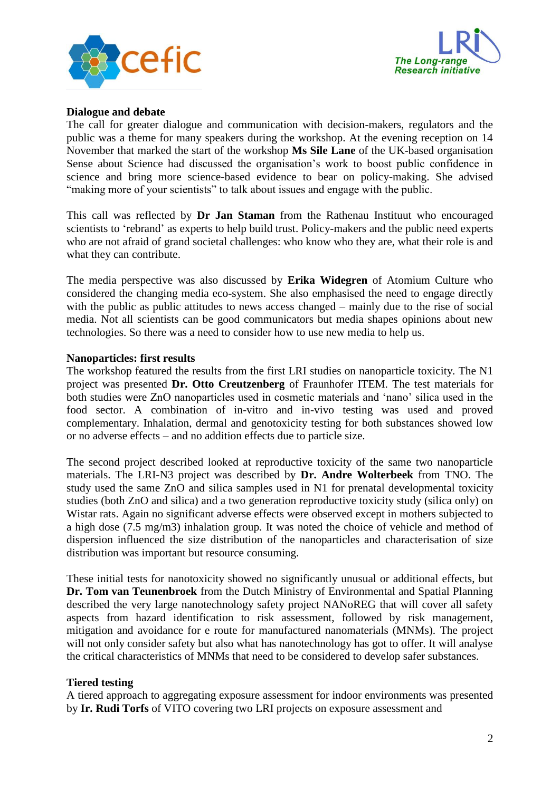



#### **Dialogue and debate**

The call for greater dialogue and communication with decision-makers, regulators and the public was a theme for many speakers during the workshop. At the evening reception on 14 November that marked the start of the workshop **Ms Sile Lane** of the UK-based organisation Sense about Science had discussed the organisation's work to boost public confidence in science and bring more science-based evidence to bear on policy-making. She advised "making more of your scientists" to talk about issues and engage with the public.

This call was reflected by **Dr Jan Staman** from the Rathenau Instituut who encouraged scientists to "rebrand" as experts to help build trust. Policy-makers and the public need experts who are not afraid of grand societal challenges: who know who they are, what their role is and what they can contribute.

The media perspective was also discussed by **Erika Widegren** of Atomium Culture who considered the changing media eco-system. She also emphasised the need to engage directly with the public as public attitudes to news access changed – mainly due to the rise of social media. Not all scientists can be good communicators but media shapes opinions about new technologies. So there was a need to consider how to use new media to help us.

#### **Nanoparticles: first results**

The workshop featured the results from the first LRI studies on nanoparticle toxicity. The N1 project was presented **Dr. Otto Creutzenberg** of Fraunhofer ITEM. The test materials for both studies were ZnO nanoparticles used in cosmetic materials and "nano" silica used in the food sector. A combination of in-vitro and in-vivo testing was used and proved complementary. Inhalation, dermal and genotoxicity testing for both substances showed low or no adverse effects – and no addition effects due to particle size.

The second project described looked at reproductive toxicity of the same two nanoparticle materials. The LRI-N3 project was described by **Dr. Andre Wolterbeek** from TNO. The study used the same ZnO and silica samples used in N1 for prenatal developmental toxicity studies (both ZnO and silica) and a two generation reproductive toxicity study (silica only) on Wistar rats. Again no significant adverse effects were observed except in mothers subjected to a high dose (7.5 mg/m3) inhalation group. It was noted the choice of vehicle and method of dispersion influenced the size distribution of the nanoparticles and characterisation of size distribution was important but resource consuming.

These initial tests for nanotoxicity showed no significantly unusual or additional effects, but **Dr. Tom van Teunenbroek** from the Dutch Ministry of Environmental and Spatial Planning described the very large nanotechnology safety project NANoREG that will cover all safety aspects from hazard identification to risk assessment, followed by risk management, mitigation and avoidance for e route for manufactured nanomaterials (MNMs). The project will not only consider safety but also what has nanotechnology has got to offer. It will analyse the critical characteristics of MNMs that need to be considered to develop safer substances.

## **Tiered testing**

A tiered approach to aggregating exposure assessment for indoor environments was presented by **Ir. Rudi Torfs** of VITO covering two LRI projects on exposure assessment and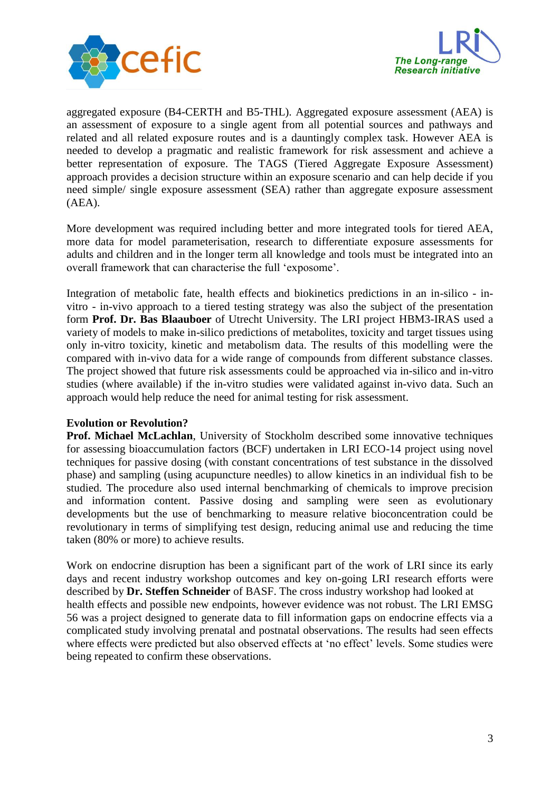



aggregated exposure (B4-CERTH and B5-THL). Aggregated exposure assessment (AEA) is an assessment of exposure to a single agent from all potential sources and pathways and related and all related exposure routes and is a dauntingly complex task. However AEA is needed to develop a pragmatic and realistic framework for risk assessment and achieve a better representation of exposure. The TAGS (Tiered Aggregate Exposure Assessment) approach provides a decision structure within an exposure scenario and can help decide if you need simple/ single exposure assessment (SEA) rather than aggregate exposure assessment (AEA).

More development was required including better and more integrated tools for tiered AEA, more data for model parameterisation, research to differentiate exposure assessments for adults and children and in the longer term all knowledge and tools must be integrated into an overall framework that can characterise the full "exposome".

Integration of metabolic fate, health effects and biokinetics predictions in an in-silico - invitro - in-vivo approach to a tiered testing strategy was also the subject of the presentation form **Prof. Dr. Bas Blaauboer** of Utrecht University. The LRI project HBM3-IRAS used a variety of models to make in-silico predictions of metabolites, toxicity and target tissues using only in-vitro toxicity, kinetic and metabolism data. The results of this modelling were the compared with in-vivo data for a wide range of compounds from different substance classes. The project showed that future risk assessments could be approached via in-silico and in-vitro studies (where available) if the in-vitro studies were validated against in-vivo data. Such an approach would help reduce the need for animal testing for risk assessment.

## **Evolution or Revolution?**

**Prof. Michael McLachlan**, University of Stockholm described some innovative techniques for assessing bioaccumulation factors (BCF) undertaken in LRI ECO-14 project using novel techniques for passive dosing (with constant concentrations of test substance in the dissolved phase) and sampling (using acupuncture needles) to allow kinetics in an individual fish to be studied. The procedure also used internal benchmarking of chemicals to improve precision and information content. Passive dosing and sampling were seen as evolutionary developments but the use of benchmarking to measure relative bioconcentration could be revolutionary in terms of simplifying test design, reducing animal use and reducing the time taken (80% or more) to achieve results.

Work on endocrine disruption has been a significant part of the work of LRI since its early days and recent industry workshop outcomes and key on-going LRI research efforts were described by **Dr. Steffen Schneider** of BASF. The cross industry workshop had looked at health effects and possible new endpoints, however evidence was not robust. The LRI EMSG 56 was a project designed to generate data to fill information gaps on endocrine effects via a complicated study involving prenatal and postnatal observations. The results had seen effects where effects were predicted but also observed effects at 'no effect' levels. Some studies were being repeated to confirm these observations.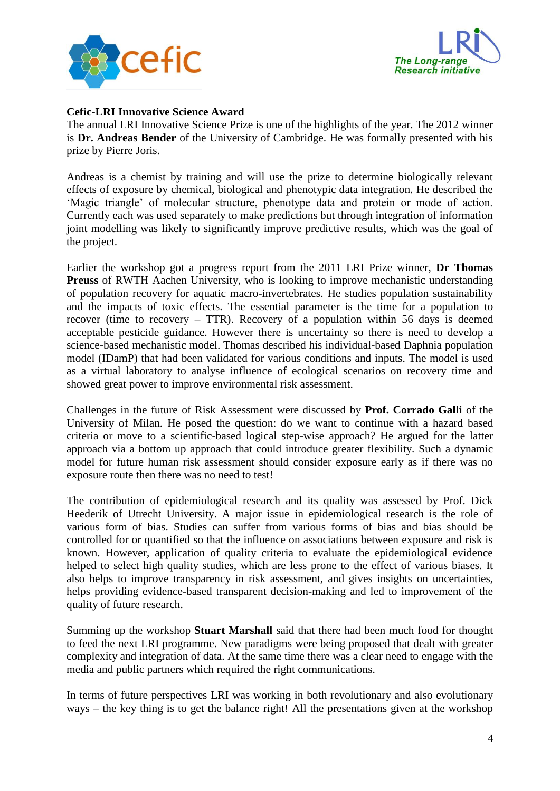



## **Cefic-LRI Innovative Science Award**

The annual LRI Innovative Science Prize is one of the highlights of the year. The 2012 winner is **Dr. Andreas Bender** of the University of Cambridge. He was formally presented with his prize by Pierre Joris.

Andreas is a chemist by training and will use the prize to determine biologically relevant effects of exposure by chemical, biological and phenotypic data integration. He described the 'Magic triangle' of molecular structure, phenotype data and protein or mode of action. Currently each was used separately to make predictions but through integration of information joint modelling was likely to significantly improve predictive results, which was the goal of the project.

Earlier the workshop got a progress report from the 2011 LRI Prize winner, **Dr Thomas Preuss** of RWTH Aachen University, who is looking to improve mechanistic understanding of population recovery for aquatic macro-invertebrates. He studies population sustainability and the impacts of toxic effects. The essential parameter is the time for a population to recover (time to recovery – TTR). Recovery of a population within 56 days is deemed acceptable pesticide guidance. However there is uncertainty so there is need to develop a science-based mechanistic model. Thomas described his individual-based Daphnia population model (IDamP) that had been validated for various conditions and inputs. The model is used as a virtual laboratory to analyse influence of ecological scenarios on recovery time and showed great power to improve environmental risk assessment.

Challenges in the future of Risk Assessment were discussed by **Prof. Corrado Galli** of the University of Milan. He posed the question: do we want to continue with a hazard based criteria or move to a scientific-based logical step-wise approach? He argued for the latter approach via a bottom up approach that could introduce greater flexibility. Such a dynamic model for future human risk assessment should consider exposure early as if there was no exposure route then there was no need to test!

The contribution of epidemiological research and its quality was assessed by Prof. Dick Heederik of Utrecht University. A major issue in epidemiological research is the role of various form of bias. Studies can suffer from various forms of bias and bias should be controlled for or quantified so that the influence on associations between exposure and risk is known. However, application of quality criteria to evaluate the epidemiological evidence helped to select high quality studies, which are less prone to the effect of various biases. It also helps to improve transparency in risk assessment, and gives insights on uncertainties, helps providing evidence-based transparent decision-making and led to improvement of the quality of future research.

Summing up the workshop **Stuart Marshall** said that there had been much food for thought to feed the next LRI programme. New paradigms were being proposed that dealt with greater complexity and integration of data. At the same time there was a clear need to engage with the media and public partners which required the right communications.

In terms of future perspectives LRI was working in both revolutionary and also evolutionary ways – the key thing is to get the balance right! All the presentations given at the workshop